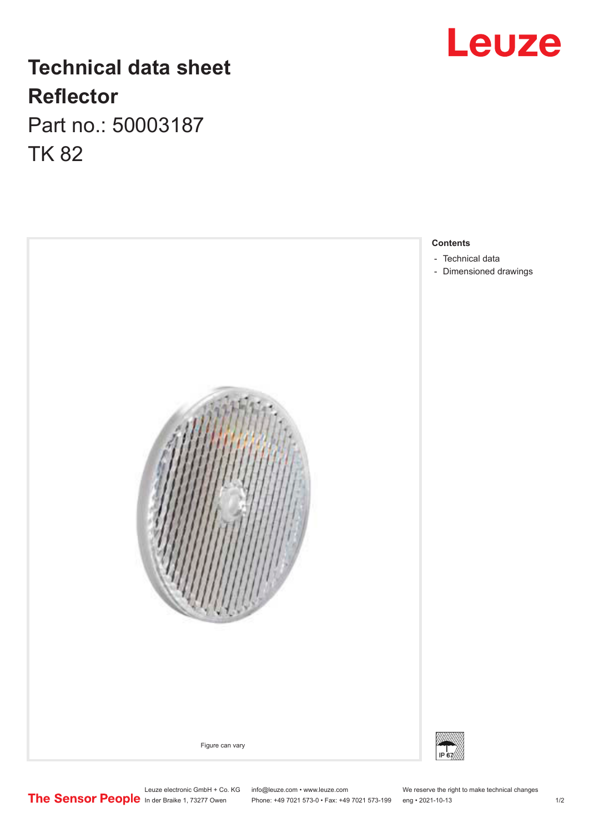## **Leuze**

## **Technical data sheet Reflector** Part no.: 50003187

TK 82



- [Technical data](#page-1-0)
- [Dimensioned drawings](#page-1-0)

Leuze electronic GmbH + Co. KG info@leuze.com • www.leuze.com We reserve the right to make technical changes In der Braike 1, 73277 Owen Phone: +49 7021 573-0 • Fax: +49 7021 573-199 eng • 2021-10-13